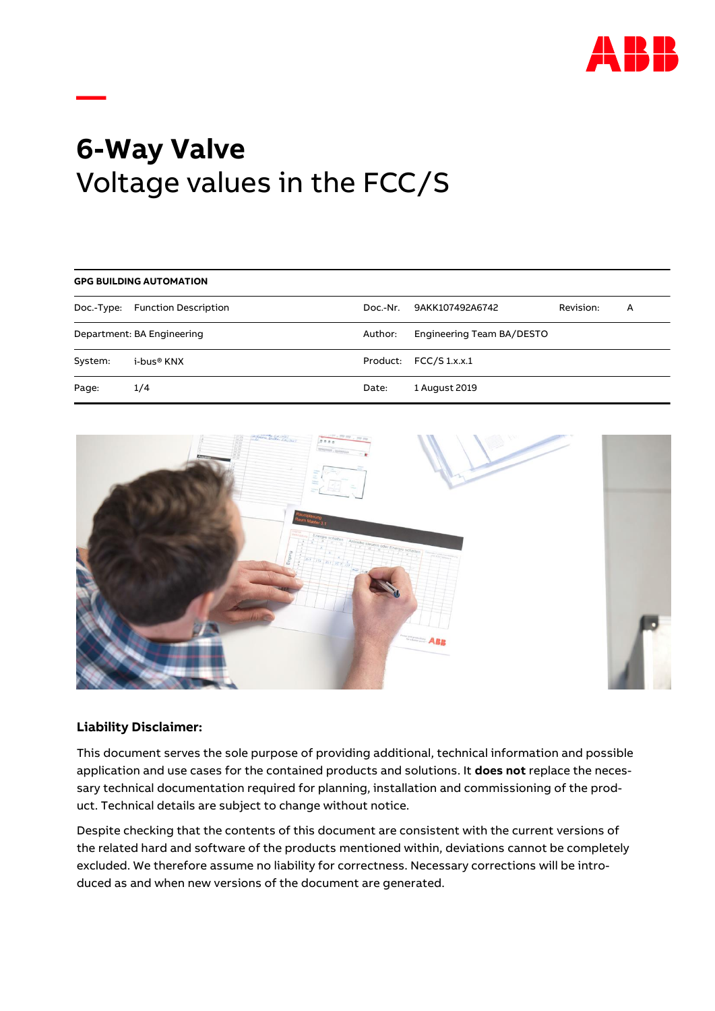

# **6-Way Valve** Voltage values in the FCC/S

| <b>GPG BUILDING AUTOMATION</b> |                                 |          |                           |           |   |  |
|--------------------------------|---------------------------------|----------|---------------------------|-----------|---|--|
|                                | Doc.-Type: Function Description | Doc.-Nr. | 9AKK107492A6742           | Revision: | A |  |
| Department: BA Engineering     |                                 | Author:  | Engineering Team BA/DESTO |           |   |  |
| System:                        | i-bus® KNX                      |          | Product: FCC/S 1.x.x.1    |           |   |  |
| Page:                          | 1/4                             | Date:    | 1 August 2019             |           |   |  |



## **Liability Disclaimer:**

**—**

This document serves the sole purpose of providing additional, technical information and possible application and use cases for the contained products and solutions. It **does not** replace the necessary technical documentation required for planning, installation and commissioning of the product. Technical details are subject to change without notice.

Despite checking that the contents of this document are consistent with the current versions of the related hard and software of the products mentioned within, deviations cannot be completely excluded. We therefore assume no liability for correctness. Necessary corrections will be introduced as and when new versions of the document are generated.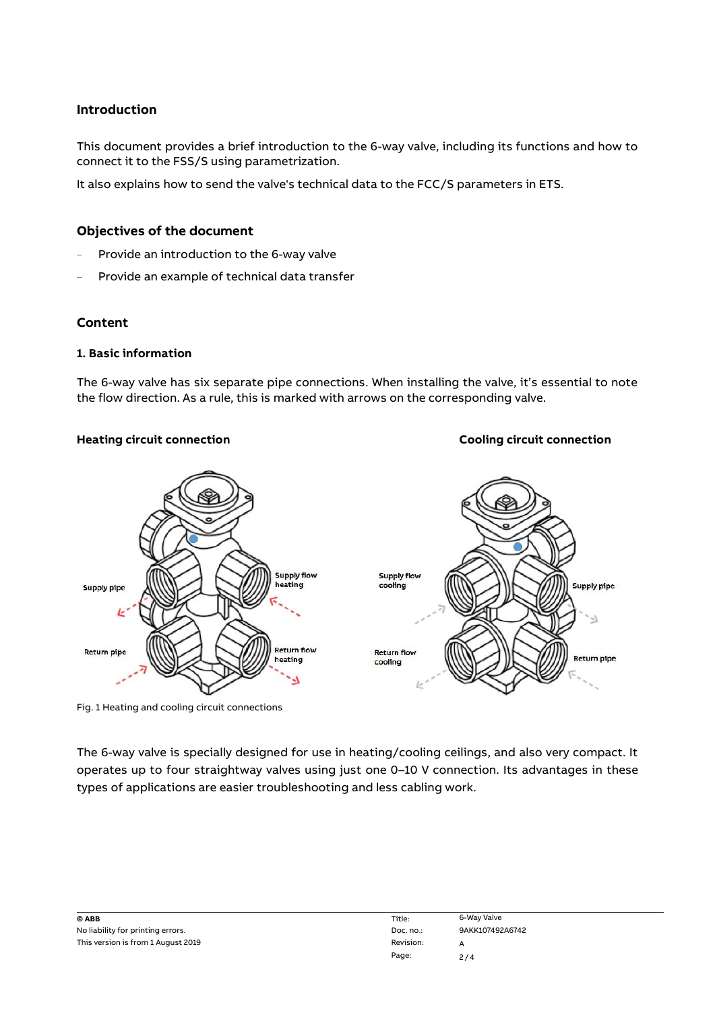## **Introduction**

This document provides a brief introduction to the 6-way valve, including its functions and how to connect it to the FSS/S using parametrization.

It also explains how to send the valve's technical data to the FCC/S parameters in ETS.

## **Objectives of the document**

- Provide an introduction to the 6-way valve
- Provide an example of technical data transfer

#### **Content**

#### **1. Basic information**

The 6-way valve has six separate pipe connections. When installing the valve, it's essential to note the flow direction. As a rule, this is marked with arrows on the corresponding valve.



Fig. 1 Heating and cooling circuit connections

The 6-way valve is specially designed for use in heating/cooling ceilings, and also very compact. It operates up to four straightway valves using just one 0–10 V connection. Its advantages in these types of applications are easier troubleshooting and less cabling work.

| © ABB                              | Title:       | 6-Way Valve |
|------------------------------------|--------------|-------------|
| No liability for printing errors.  | Doc. $no.$ : | 9AKK10749   |
| This version is from 1 August 2019 | Revision:    |             |

**Heating circuit connection Cooling circuit connection**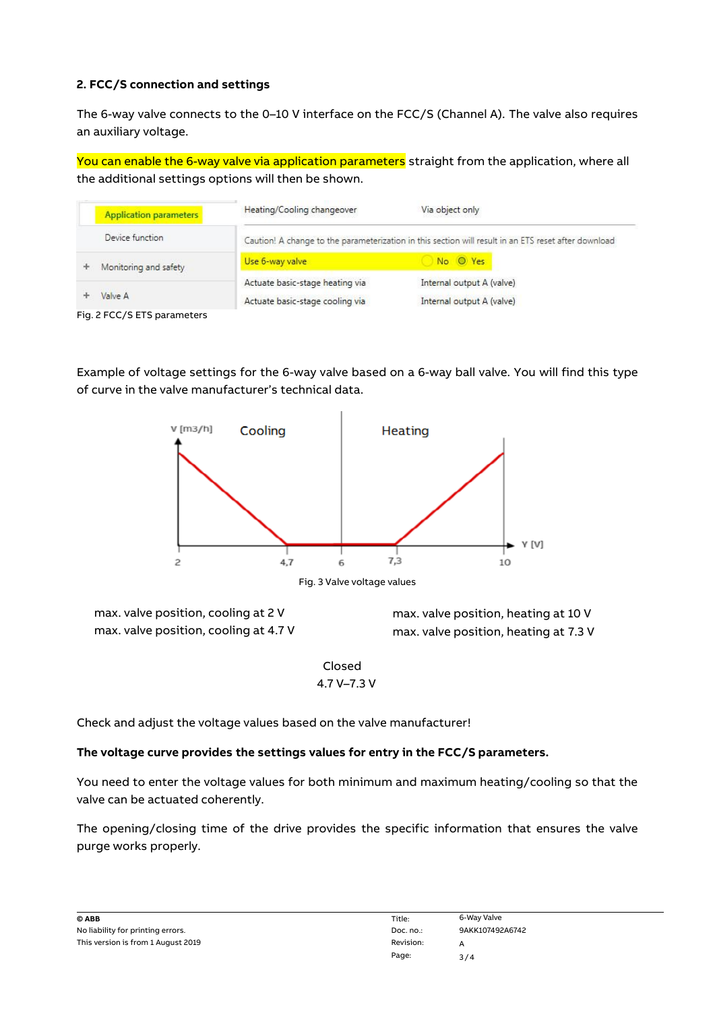# **2. FCC/S connection and settings**

The 6-way valve connects to the 0–10 V interface on the FCC/S (Channel A). The valve also requires an auxiliary voltage.

You can enable the 6-way valve via application parameters straight from the application, where all the additional settings options will then be shown.

| Heating/Cooling changeover                                                                           | Via object only                                        |
|------------------------------------------------------------------------------------------------------|--------------------------------------------------------|
| Caution! A change to the parameterization in this section will result in an ETS reset after download |                                                        |
| Use 6-way valve                                                                                      | No O Yes                                               |
| Actuate basic-stage heating via<br>Actuate basic-stage cooling via                                   | Internal output A (valve)<br>Internal output A (valve) |
|                                                                                                      |                                                        |

Fig. 2 FCC/S ETS parameters

Example of voltage settings for the 6-way valve based on a 6-way ball valve. You will find this type of curve in the valve manufacturer's technical data.



max. valve position, cooling at 2 V max. valve position, cooling at 4.7 V

max. valve position, heating at 10 V max. valve position, heating at 7.3 V

Closed 4.7 V–7.3 V

Check and adjust the voltage values based on the valve manufacturer!

## **The voltage curve provides the settings values for entry in the FCC/S parameters.**

You need to enter the voltage values for both minimum and maximum heating/cooling so that the valve can be actuated coherently.

The opening/closing time of the drive provides the specific information that ensures the valve purge works properly.